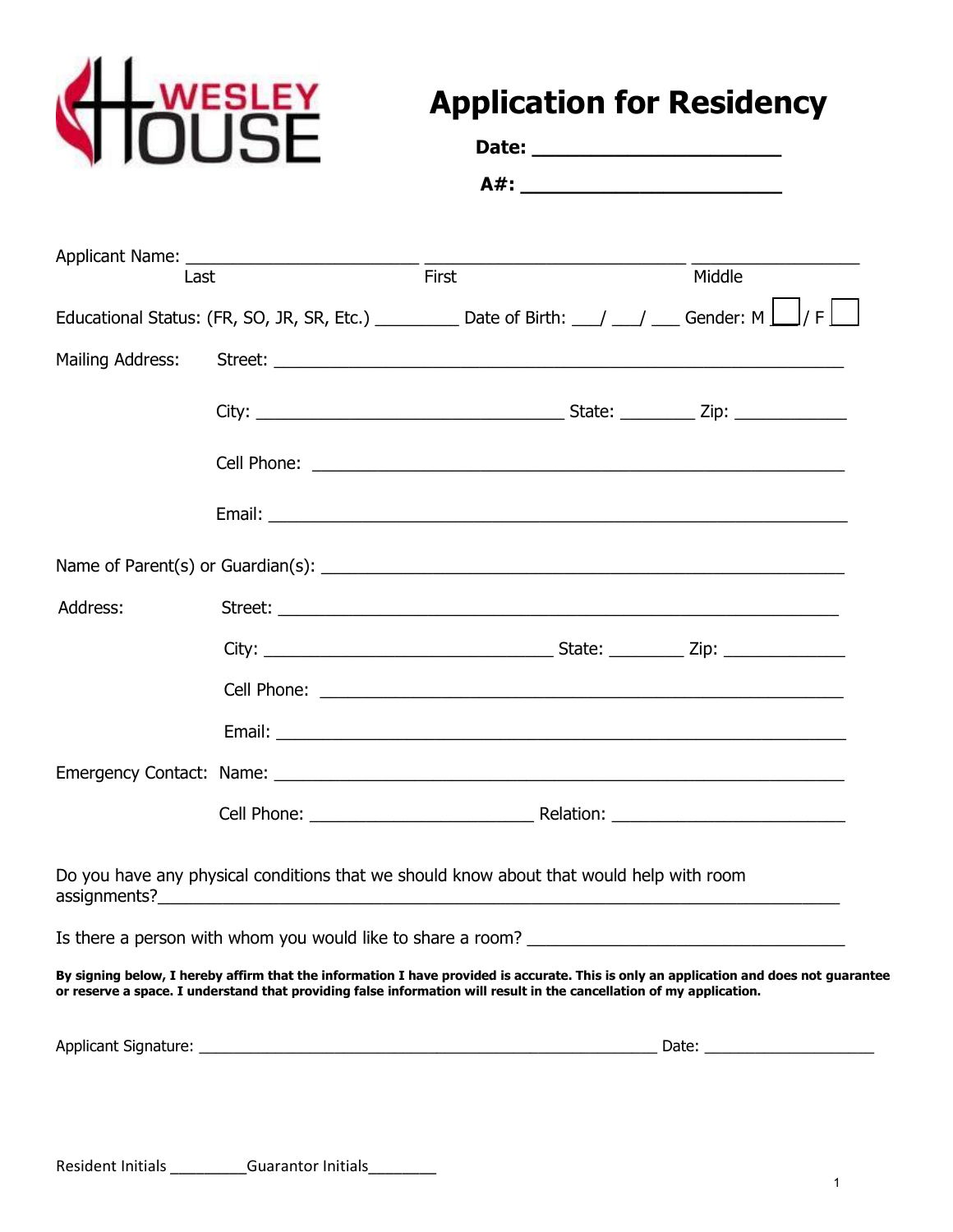

# **Application for Residency**

| <b>NIUUSE</b>    |      | Date: ___________________________                                                                                                                                                                                                                              |                                   |        |
|------------------|------|----------------------------------------------------------------------------------------------------------------------------------------------------------------------------------------------------------------------------------------------------------------|-----------------------------------|--------|
|                  |      |                                                                                                                                                                                                                                                                | A#: _____________________________ |        |
|                  |      |                                                                                                                                                                                                                                                                |                                   |        |
|                  | Last | $-$ First                                                                                                                                                                                                                                                      |                                   | Middle |
|                  |      | Educational Status: (FR, SO, JR, SR, Etc.) __________ Date of Birth: ___/ ___/ ___ Gender: M $\Box$ / F $\Box$                                                                                                                                                 |                                   |        |
| Mailing Address: |      |                                                                                                                                                                                                                                                                |                                   |        |
|                  |      |                                                                                                                                                                                                                                                                |                                   |        |
|                  |      |                                                                                                                                                                                                                                                                |                                   |        |
|                  |      |                                                                                                                                                                                                                                                                |                                   |        |
|                  |      |                                                                                                                                                                                                                                                                |                                   |        |
| Address:         |      |                                                                                                                                                                                                                                                                |                                   |        |
|                  |      |                                                                                                                                                                                                                                                                |                                   |        |
|                  |      |                                                                                                                                                                                                                                                                |                                   |        |
|                  |      |                                                                                                                                                                                                                                                                |                                   |        |
|                  |      |                                                                                                                                                                                                                                                                |                                   |        |
|                  |      |                                                                                                                                                                                                                                                                |                                   |        |
|                  |      | Do you have any physical conditions that we should know about that would help with room                                                                                                                                                                        |                                   |        |
|                  |      | Is there a person with whom you would like to share a room? _____________________                                                                                                                                                                              |                                   |        |
|                  |      | By signing below, I hereby affirm that the information I have provided is accurate. This is only an application and does not guarantee<br>or reserve a space. I understand that providing false information will result in the cancellation of my application. |                                   |        |
|                  |      |                                                                                                                                                                                                                                                                |                                   |        |
|                  |      |                                                                                                                                                                                                                                                                |                                   |        |

Resident Initials \_\_\_\_\_\_\_\_\_\_\_Guarantor Initials\_\_\_\_\_\_\_\_\_\_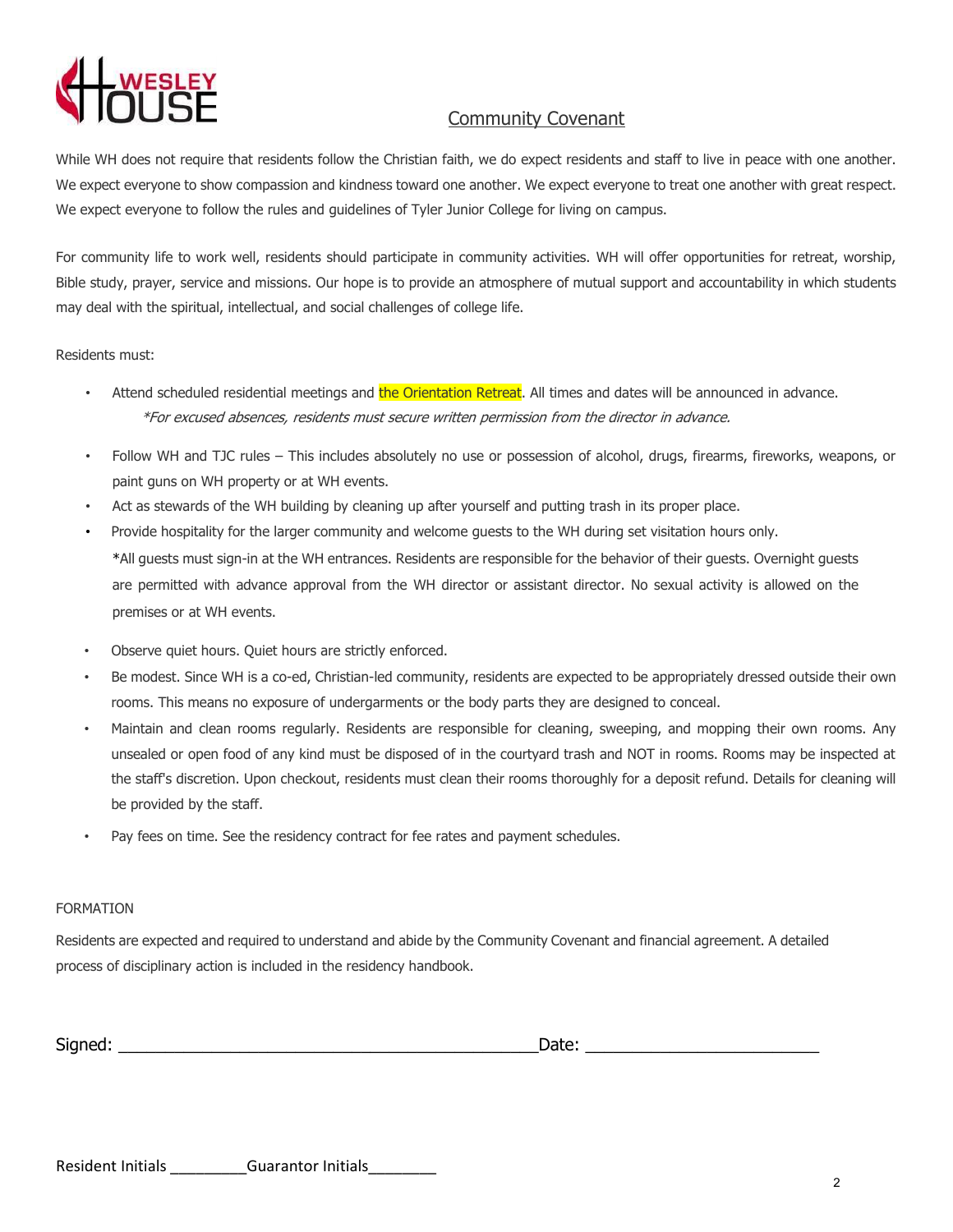# Community Covenant

While WH does not require that residents follow the Christian faith, we do expect residents and staff to live in peace with one another. We expect everyone to show compassion and kindness toward one another. We expect everyone to treat one another with great respect. We expect everyone to follow the rules and quidelines of Tyler Junior College for living on campus.

For community life to work well, residents should participate in community activities. WH will offer opportunities for retreat, worship, Bible study, prayer, service and missions. Our hope is to provide an atmosphere of mutual support and accountability in which students may deal with the spiritual, intellectual, and social challenges of college life.

Residents must:

- Attend scheduled residential meetings and the Orientation Retreat. All times and dates will be announced in advance. \*For excused absences, residents must secure written permission from the director in advance.
- Follow WH and TJC rules This includes absolutely no use or possession of alcohol, drugs, firearms, fireworks, weapons, or paint guns on WH property or at WH events.
- Act as stewards of the WH building by cleaning up after yourself and putting trash in its proper place.
- Provide hospitality for the larger community and welcome guests to the WH during set visitation hours only. \*All guests must sign-in at the WH entrances. Residents are responsible for the behavior of their guests. Overnight guests are permitted with advance approval from the WH director or assistant director. No sexual activity is allowed on the premises or at WH events.
- Observe quiet hours. Quiet hours are strictly enforced.
- Be modest. Since WH is a co-ed, Christian-led community, residents are expected to be appropriately dressed outside their own rooms. This means no exposure of undergarments or the body parts they are designed to conceal.
- Maintain and clean rooms regularly. Residents are responsible for cleaning, sweeping, and mopping their own rooms. Any unsealed or open food of any kind must be disposed of in the courtyard trash and NOT in rooms. Rooms may be inspected at the staff's discretion. Upon checkout, residents must clean their rooms thoroughly for a deposit refund. Details for cleaning will be provided by the staff.
- Pay fees on time. See the residency contract for fee rates and payment schedules.

#### FORMATION

Residents are expected and required to understand and abide by the Community Covenant and financial agreement. A detailed process of disciplinary action is included in the residency handbook.

| $\sim$<br>Signed.<br>$\sim$ | vale. |  |
|-----------------------------|-------|--|
|                             |       |  |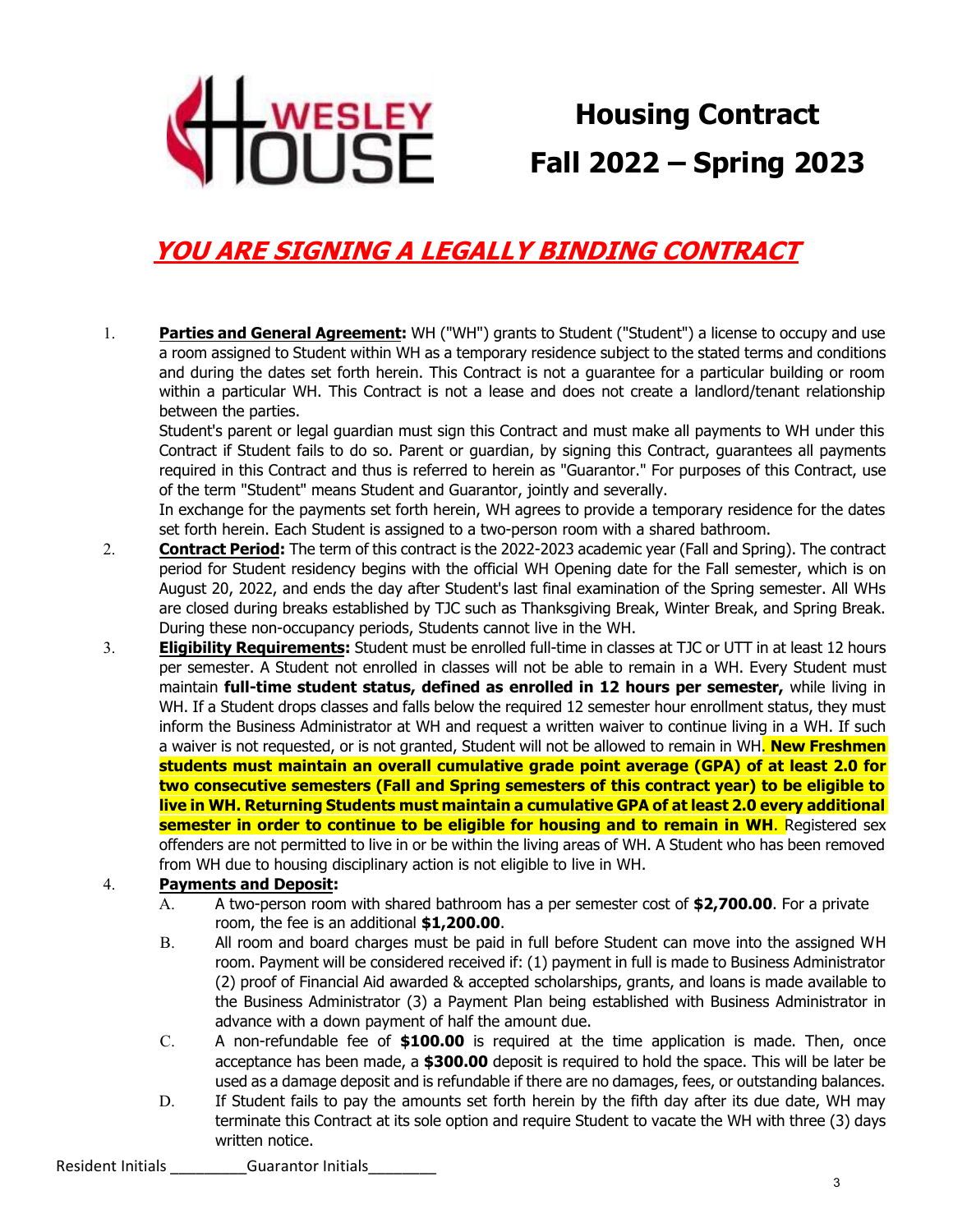

**Housing Contract Fall 2022 – Spring 2023**

# **YOU ARE SIGNING A LEGALLY BINDING CONTRACT**

1. **Parties and General Agreement:** WH ("WH") grants to Student ("Student") a license to occupy and use a room assigned to Student within WH as a temporary residence subject to the stated terms and conditions and during the dates set forth herein. This Contract is not a guarantee for a particular building or room within a particular WH. This Contract is not a lease and does not create a landlord/tenant relationship between the parties.

Student's parent or legal guardian must sign this Contract and must make all payments to WH under this Contract if Student fails to do so. Parent or guardian, by signing this Contract, guarantees all payments required in this Contract and thus is referred to herein as "Guarantor." For purposes of this Contract, use of the term "Student" means Student and Guarantor, jointly and severally.

In exchange for the payments set forth herein, WH agrees to provide a temporary residence for the dates set forth herein. Each Student is assigned to a two-person room with a shared bathroom.

- 2. **Contract Period:** The term of this contract is the 2022-2023 academic year (Fall and Spring). The contract period for Student residency begins with the official WH Opening date for the Fall semester, which is on August 20, 2022, and ends the day after Student's last final examination of the Spring semester. All WHs are closed during breaks established by TJC such as Thanksgiving Break, Winter Break, and Spring Break. During these non-occupancy periods, Students cannot live in the WH.
- 3. **Eligibility Requirements:** Student must be enrolled full-time in classes at TJC or UTT in at least 12 hours per semester. A Student not enrolled in classes will not be able to remain in a WH. Every Student must maintain **full-time student status, defined as enrolled in 12 hours per semester,** while living in WH. If a Student drops classes and falls below the required 12 semester hour enrollment status, they must inform the Business Administrator at WH and request a written waiver to continue living in a WH. If such a waiver is not requested, or is not granted, Student will not be allowed to remain in WH. **New Freshmen students must maintain an overall cumulative grade point average (GPA) of at least 2.0 for two consecutive semesters (Fall and Spring semesters of this contract year) to be eligible to live in WH. Returning Students must maintain a cumulative GPA of at least 2.0 every additional semester in order to continue to be eligible for housing and to remain in WH.** Registered sex offenders are not permitted to live in or be within the living areas of WH. A Student who has been removed from WH due to housing disciplinary action is not eligible to live in WH.

#### 4. **Payments and Deposit:**

- A. A two-person room with shared bathroom has a per semester cost of **\$2,700.00**. For a private room, the fee is an additional **\$1,200.00**.
- B. All room and board charges must be paid in full before Student can move into the assigned WH room. Payment will be considered received if: (1) payment in full is made to Business Administrator (2) proof of Financial Aid awarded & accepted scholarships, grants, and loans is made available to the Business Administrator (3) a Payment Plan being established with Business Administrator in advance with a down payment of half the amount due.
- C. A non-refundable fee of **\$100.00** is required at the time application is made. Then, once acceptance has been made, a **\$300.00** deposit is required to hold the space. This will be later be used as a damage deposit and is refundable if there are no damages, fees, or outstanding balances.
- D. If Student fails to pay the amounts set forth herein by the fifth day after its due date, WH may terminate this Contract at its sole option and require Student to vacate the WH with three (3) days written notice.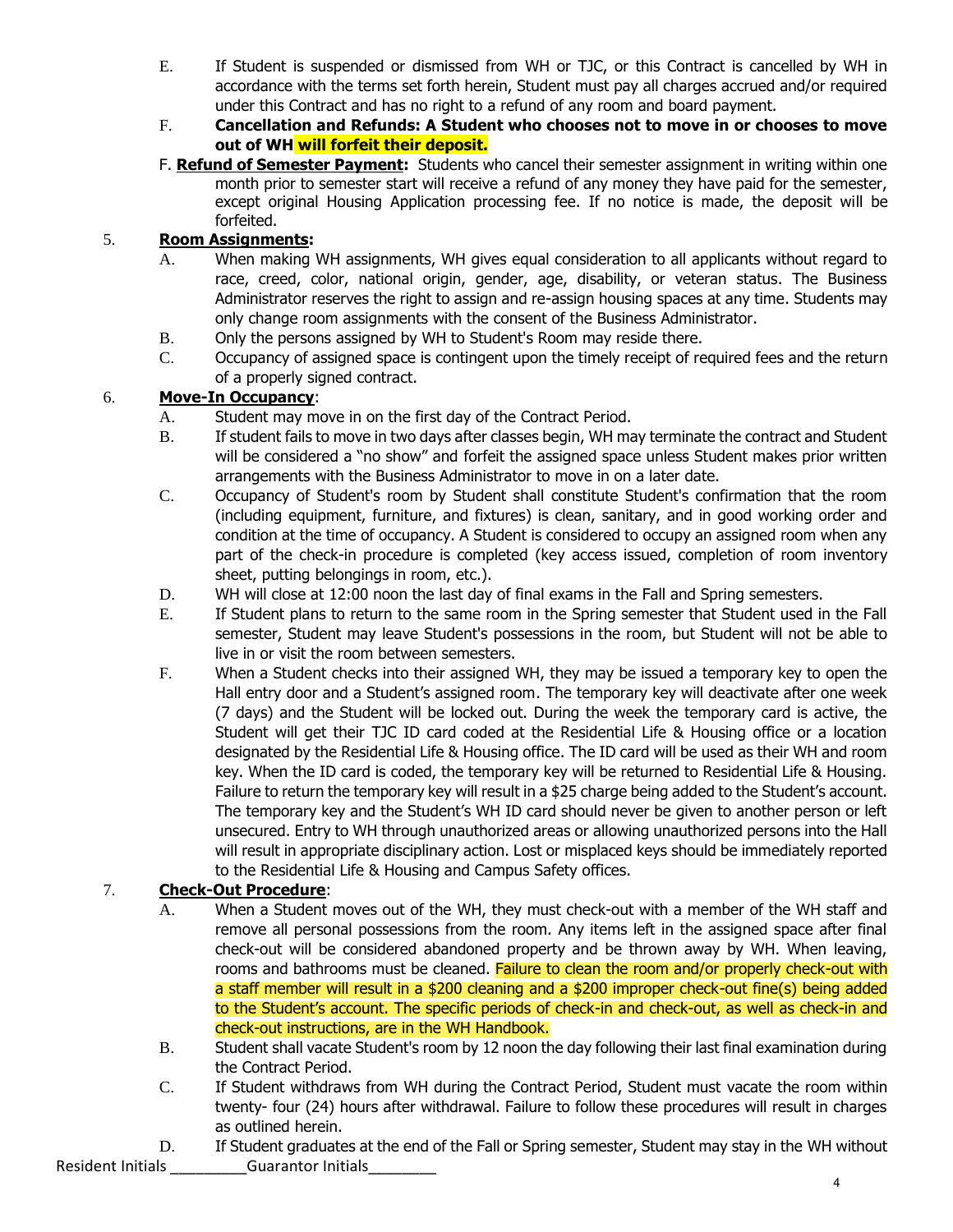- E. If Student is suspended or dismissed from WH or TJC, or this Contract is cancelled by WH in accordance with the terms set forth herein, Student must pay all charges accrued and/or required under this Contract and has no right to a refund of any room and board payment.
- F. **Cancellation and Refunds: A Student who chooses not to move in or chooses to move out of WH will forfeit their deposit.**
- F. **Refund of Semester Payment:** Students who cancel their semester assignment in writing within one month prior to semester start will receive a refund of any money they have paid for the semester, except original Housing Application processing fee. If no notice is made, the deposit will be forfeited.

#### 5. **Room Assignments:**

- A. When making WH assignments, WH gives equal consideration to all applicants without regard to race, creed, color, national origin, gender, age, disability, or veteran status. The Business Administrator reserves the right to assign and re-assign housing spaces at any time. Students may only change room assignments with the consent of the Business Administrator.
- B. Only the persons assigned by WH to Student's Room may reside there.
- C. Occupancy of assigned space is contingent upon the timely receipt of required fees and the return of a properly signed contract.

#### 6. **Move-In Occupancy**:

- A. Student may move in on the first day of the Contract Period.
- B. If student fails to move in two days after classes begin, WH may terminate the contract and Student will be considered a "no show" and forfeit the assigned space unless Student makes prior written arrangements with the Business Administrator to move in on a later date.
- C. Occupancy of Student's room by Student shall constitute Student's confirmation that the room (including equipment, furniture, and fixtures) is clean, sanitary, and in good working order and condition at the time of occupancy. A Student is considered to occupy an assigned room when any part of the check-in procedure is completed (key access issued, completion of room inventory sheet, putting belongings in room, etc.).
- D. WH will close at 12:00 noon the last day of final exams in the Fall and Spring semesters.
- E. If Student plans to return to the same room in the Spring semester that Student used in the Fall semester, Student may leave Student's possessions in the room, but Student will not be able to live in or visit the room between semesters.
- F. When a Student checks into their assigned WH, they may be issued a temporary key to open the Hall entry door and a Student's assigned room. The temporary key will deactivate after one week (7 days) and the Student will be locked out. During the week the temporary card is active, the Student will get their TJC ID card coded at the Residential Life & Housing office or a location designated by the Residential Life & Housing office. The ID card will be used as their WH and room key. When the ID card is coded, the temporary key will be returned to Residential Life & Housing. Failure to return the temporary key will result in a \$25 charge being added to the Student's account. The temporary key and the Student's WH ID card should never be given to another person or left unsecured. Entry to WH through unauthorized areas or allowing unauthorized persons into the Hall will result in appropriate disciplinary action. Lost or misplaced keys should be immediately reported to the Residential Life & Housing and Campus Safety offices.

## 7. **Check-Out Procedure**:

- A. When a Student moves out of the WH, they must check-out with a member of the WH staff and remove all personal possessions from the room. Any items left in the assigned space after final check-out will be considered abandoned property and be thrown away by WH. When leaving, rooms and bathrooms must be cleaned. Failure to clean the room and/or properly check-out with a staff member will result in a \$200 cleaning and a \$200 improper check-out fine(s) being added to the Student's account. The specific periods of check-in and check-out, as well as check-in and check-out instructions, are in the WH Handbook.
- B. Student shall vacate Student's room by 12 noon the day following their last final examination during the Contract Period.
- C. If Student withdraws from WH during the Contract Period, Student must vacate the room within twenty- four (24) hours after withdrawal. Failure to follow these procedures will result in charges as outlined herein.
- Resident Initials **Example 20 Guarantor Initials** D. If Student graduates at the end of the Fall or Spring semester, Student may stay in the WH without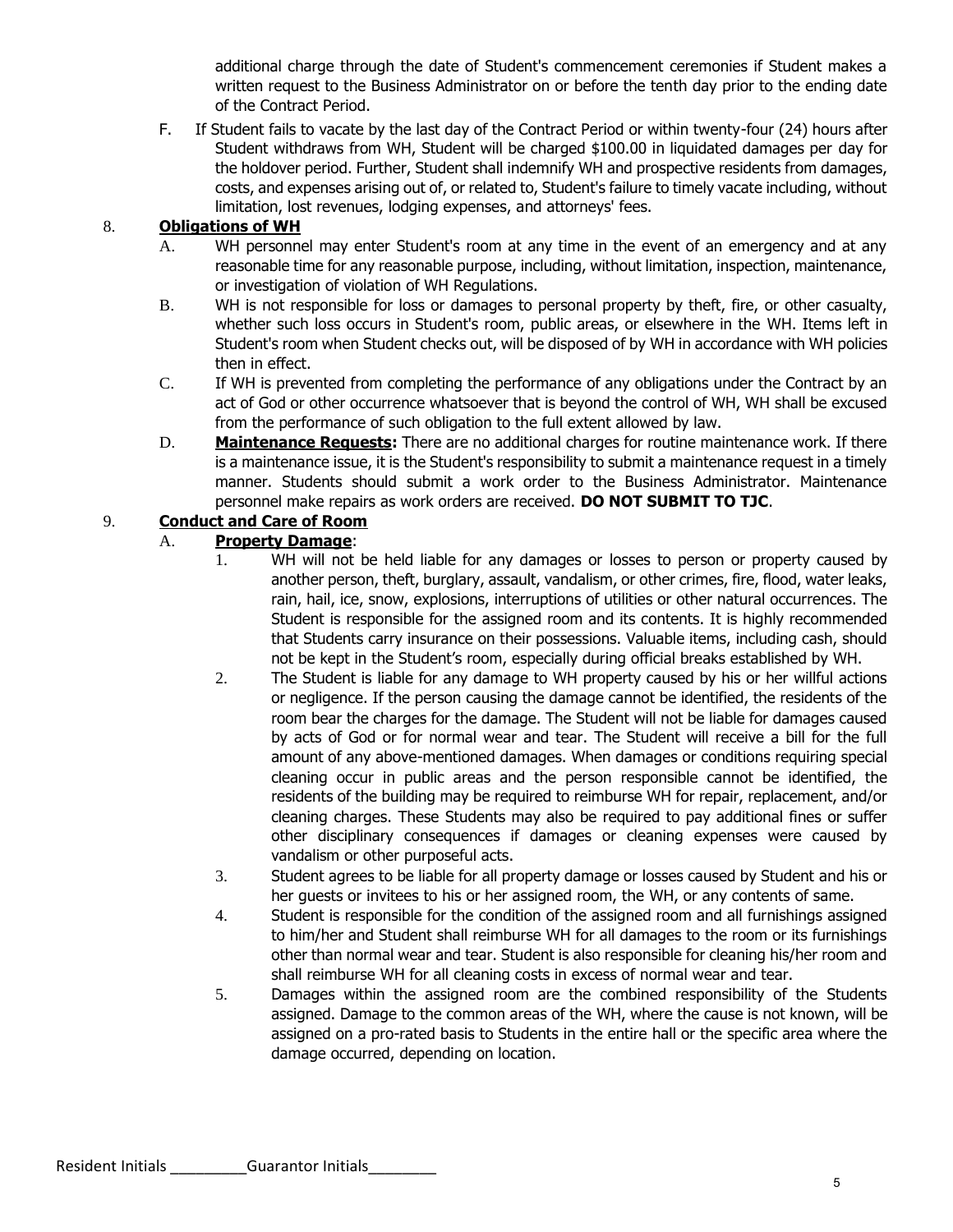additional charge through the date of Student's commencement ceremonies if Student makes a written request to the Business Administrator on or before the tenth day prior to the ending date of the Contract Period.

F. If Student fails to vacate by the last day of the Contract Period or within twenty-four (24) hours after Student withdraws from WH, Student will be charged \$100.00 in liquidated damages per day for the holdover period. Further, Student shall indemnify WH and prospective residents from damages, costs, and expenses arising out of, or related to, Student's failure to timely vacate including, without limitation, lost revenues, lodging expenses, and attorneys' fees.

#### 8. **Obligations of WH**

- A. WH personnel may enter Student's room at any time in the event of an emergency and at any reasonable time for any reasonable purpose, including, without limitation, inspection, maintenance, or investigation of violation of WH Regulations.
- B. WH is not responsible for loss or damages to personal property by theft, fire, or other casualty, whether such loss occurs in Student's room, public areas, or elsewhere in the WH. Items left in Student's room when Student checks out, will be disposed of by WH in accordance with WH policies then in effect.
- C. If WH is prevented from completing the performance of any obligations under the Contract by an act of God or other occurrence whatsoever that is beyond the control of WH, WH shall be excused from the performance of such obligation to the full extent allowed by law.
- D. **Maintenance Requests:** There are no additional charges for routine maintenance work. If there is a maintenance issue, it is the Student's responsibility to submit a maintenance request in a timely manner. Students should submit a work order to the Business Administrator. Maintenance personnel make repairs as work orders are received. **DO NOT SUBMIT TO TJC**.

#### 9. **Conduct and Care of Room**

#### A. **Property Damage**:

- 1. WH will not be held liable for any damages or losses to person or property caused by another person, theft, burglary, assault, vandalism, or other crimes, fire, flood, water leaks, rain, hail, ice, snow, explosions, interruptions of utilities or other natural occurrences. The Student is responsible for the assigned room and its contents. It is highly recommended that Students carry insurance on their possessions. Valuable items, including cash, should not be kept in the Student's room, especially during official breaks established by WH.
- 2. The Student is liable for any damage to WH property caused by his or her willful actions or negligence. If the person causing the damage cannot be identified, the residents of the room bear the charges for the damage. The Student will not be liable for damages caused by acts of God or for normal wear and tear. The Student will receive a bill for the full amount of any above-mentioned damages. When damages or conditions requiring special cleaning occur in public areas and the person responsible cannot be identified, the residents of the building may be required to reimburse WH for repair, replacement, and/or cleaning charges. These Students may also be required to pay additional fines or suffer other disciplinary consequences if damages or cleaning expenses were caused by vandalism or other purposeful acts.
- 3. Student agrees to be liable for all property damage or losses caused by Student and his or her guests or invitees to his or her assigned room, the WH, or any contents of same.
- 4. Student is responsible for the condition of the assigned room and all furnishings assigned to him/her and Student shall reimburse WH for all damages to the room or its furnishings other than normal wear and tear. Student is also responsible for cleaning his/her room and shall reimburse WH for all cleaning costs in excess of normal wear and tear.
- 5. Damages within the assigned room are the combined responsibility of the Students assigned. Damage to the common areas of the WH, where the cause is not known, will be assigned on a pro-rated basis to Students in the entire hall or the specific area where the damage occurred, depending on location.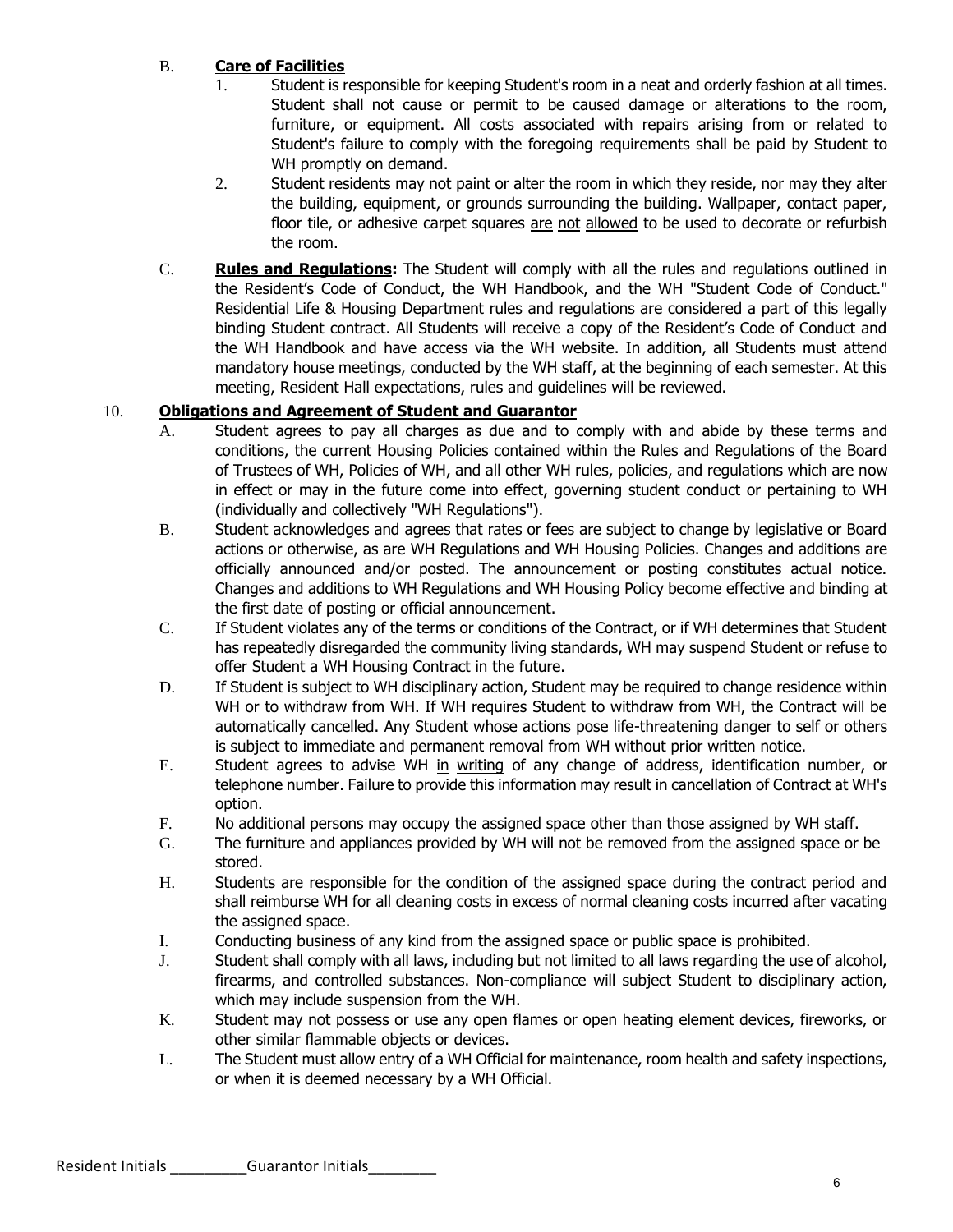#### B. **Care of Facilities**

- 1. Student is responsible for keeping Student's room in a neat and orderly fashion at all times. Student shall not cause or permit to be caused damage or alterations to the room, furniture, or equipment. All costs associated with repairs arising from or related to Student's failure to comply with the foregoing requirements shall be paid by Student to WH promptly on demand.
- 2. Student residents may not paint or alter the room in which they reside, nor may they alter the building, equipment, or grounds surrounding the building. Wallpaper, contact paper, floor tile, or adhesive carpet squares are not allowed to be used to decorate or refurbish the room.
- C. **Rules and Regulations:** The Student will comply with all the rules and regulations outlined in the Resident's Code of Conduct, the WH Handbook, and the WH "Student Code of Conduct." Residential Life & Housing Department rules and regulations are considered a part of this legally binding Student contract. All Students will receive a copy of the Resident's Code of Conduct and the WH Handbook and have access via the WH website. In addition, all Students must attend mandatory house meetings, conducted by the WH staff, at the beginning of each semester. At this meeting, Resident Hall expectations, rules and guidelines will be reviewed.

#### 10. **Obligations and Agreement of Student and Guarantor**

- A. Student agrees to pay all charges as due and to comply with and abide by these terms and conditions, the current Housing Policies contained within the Rules and Regulations of the Board of Trustees of WH, Policies of WH, and all other WH rules, policies, and regulations which are now in effect or may in the future come into effect, governing student conduct or pertaining to WH (individually and collectively "WH Regulations").
- B. Student acknowledges and agrees that rates or fees are subject to change by legislative or Board actions or otherwise, as are WH Regulations and WH Housing Policies. Changes and additions are officially announced and/or posted. The announcement or posting constitutes actual notice. Changes and additions to WH Regulations and WH Housing Policy become effective and binding at the first date of posting or official announcement.
- C. If Student violates any of the terms or conditions of the Contract, or if WH determines that Student has repeatedly disregarded the community living standards, WH may suspend Student or refuse to offer Student a WH Housing Contract in the future.
- D. If Student is subject to WH disciplinary action, Student may be required to change residence within WH or to withdraw from WH. If WH requires Student to withdraw from WH, the Contract will be automatically cancelled. Any Student whose actions pose life-threatening danger to self or others is subject to immediate and permanent removal from WH without prior written notice.
- E. Student agrees to advise WH in writing of any change of address, identification number, or telephone number. Failure to provide this information may result in cancellation of Contract at WH's option.
- F. No additional persons may occupy the assigned space other than those assigned by WH staff.
- G. The furniture and appliances provided by WH will not be removed from the assigned space or be stored.
- H. Students are responsible for the condition of the assigned space during the contract period and shall reimburse WH for all cleaning costs in excess of normal cleaning costs incurred after vacating the assigned space.
- I. Conducting business of any kind from the assigned space or public space is prohibited.
- J. Student shall comply with all laws, including but not limited to all laws regarding the use of alcohol, firearms, and controlled substances. Non-compliance will subject Student to disciplinary action, which may include suspension from the WH.
- K. Student may not possess or use any open flames or open heating element devices, fireworks, or other similar flammable objects or devices.
- L. The Student must allow entry of a WH Official for maintenance, room health and safety inspections, or when it is deemed necessary by a WH Official.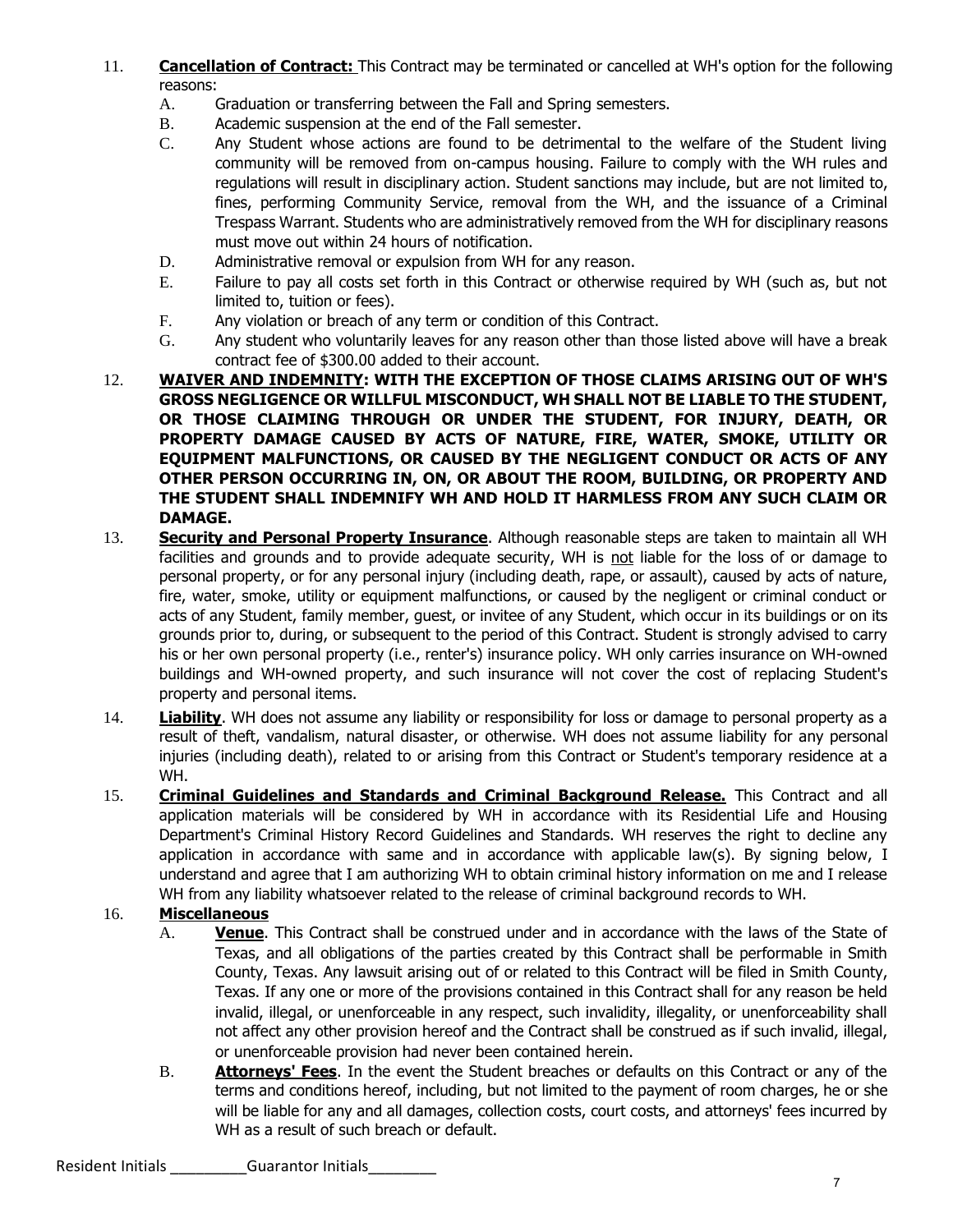- 11. **Cancellation of Contract:** This Contract may be terminated or cancelled at WH's option for the following reasons:
	- A. Graduation or transferring between the Fall and Spring semesters.
	- B. Academic suspension at the end of the Fall semester.
	- C. Any Student whose actions are found to be detrimental to the welfare of the Student living community will be removed from on-campus housing. Failure to comply with the WH rules and regulations will result in disciplinary action. Student sanctions may include, but are not limited to, fines, performing Community Service, removal from the WH, and the issuance of a Criminal Trespass Warrant. Students who are administratively removed from the WH for disciplinary reasons must move out within 24 hours of notification.
	- D. Administrative removal or expulsion from WH for any reason.
	- E. Failure to pay all costs set forth in this Contract or otherwise required by WH (such as, but not limited to, tuition or fees).
	- F. Any violation or breach of any term or condition of this Contract.
	- G. Any student who voluntarily leaves for any reason other than those listed above will have a break contract fee of \$300.00 added to their account.
- 12. **WAIVER AND INDEMNITY: WITH THE EXCEPTION OF THOSE CLAIMS ARISING OUT OF WH'S GROSS NEGLIGENCE OR WILLFUL MISCONDUCT, WH SHALL NOT BE LIABLE TO THE STUDENT, OR THOSE CLAIMING THROUGH OR UNDER THE STUDENT, FOR INJURY, DEATH, OR PROPERTY DAMAGE CAUSED BY ACTS OF NATURE, FIRE, WATER, SMOKE, UTILITY OR EQUIPMENT MALFUNCTIONS, OR CAUSED BY THE NEGLIGENT CONDUCT OR ACTS OF ANY OTHER PERSON OCCURRING IN, ON, OR ABOUT THE ROOM, BUILDING, OR PROPERTY AND THE STUDENT SHALL INDEMNIFY WH AND HOLD IT HARMLESS FROM ANY SUCH CLAIM OR DAMAGE.**
- 13. **Security and Personal Property Insurance**. Although reasonable steps are taken to maintain all WH facilities and grounds and to provide adequate security, WH is not liable for the loss of or damage to personal property, or for any personal injury (including death, rape, or assault), caused by acts of nature, fire, water, smoke, utility or equipment malfunctions, or caused by the negligent or criminal conduct or acts of any Student, family member, guest, or invitee of any Student, which occur in its buildings or on its grounds prior to, during, or subsequent to the period of this Contract. Student is strongly advised to carry his or her own personal property (i.e., renter's) insurance policy. WH only carries insurance on WH-owned buildings and WH-owned property, and such insurance will not cover the cost of replacing Student's property and personal items.
- 14. **Liability**. WH does not assume any liability or responsibility for loss or damage to personal property as a result of theft, vandalism, natural disaster, or otherwise. WH does not assume liability for any personal injuries (including death), related to or arising from this Contract or Student's temporary residence at a WH.
- 15. **Criminal Guidelines and Standards and Criminal Background Release.** This Contract and all application materials will be considered by WH in accordance with its Residential Life and Housing Department's Criminal History Record Guidelines and Standards. WH reserves the right to decline any application in accordance with same and in accordance with applicable law(s). By signing below, I understand and agree that I am authorizing WH to obtain criminal history information on me and I release WH from any liability whatsoever related to the release of criminal background records to WH.

## 16. **Miscellaneous**

- A. **Venue**. This Contract shall be construed under and in accordance with the laws of the State of Texas, and all obligations of the parties created by this Contract shall be performable in Smith County, Texas. Any lawsuit arising out of or related to this Contract will be filed in Smith County, Texas. If any one or more of the provisions contained in this Contract shall for any reason be held invalid, illegal, or unenforceable in any respect, such invalidity, illegality, or unenforceability shall not affect any other provision hereof and the Contract shall be construed as if such invalid, illegal, or unenforceable provision had never been contained herein.
- B. **Attorneys' Fees**. In the event the Student breaches or defaults on this Contract or any of the terms and conditions hereof, including, but not limited to the payment of room charges, he or she will be liable for any and all damages, collection costs, court costs, and attorneys' fees incurred by WH as a result of such breach or default.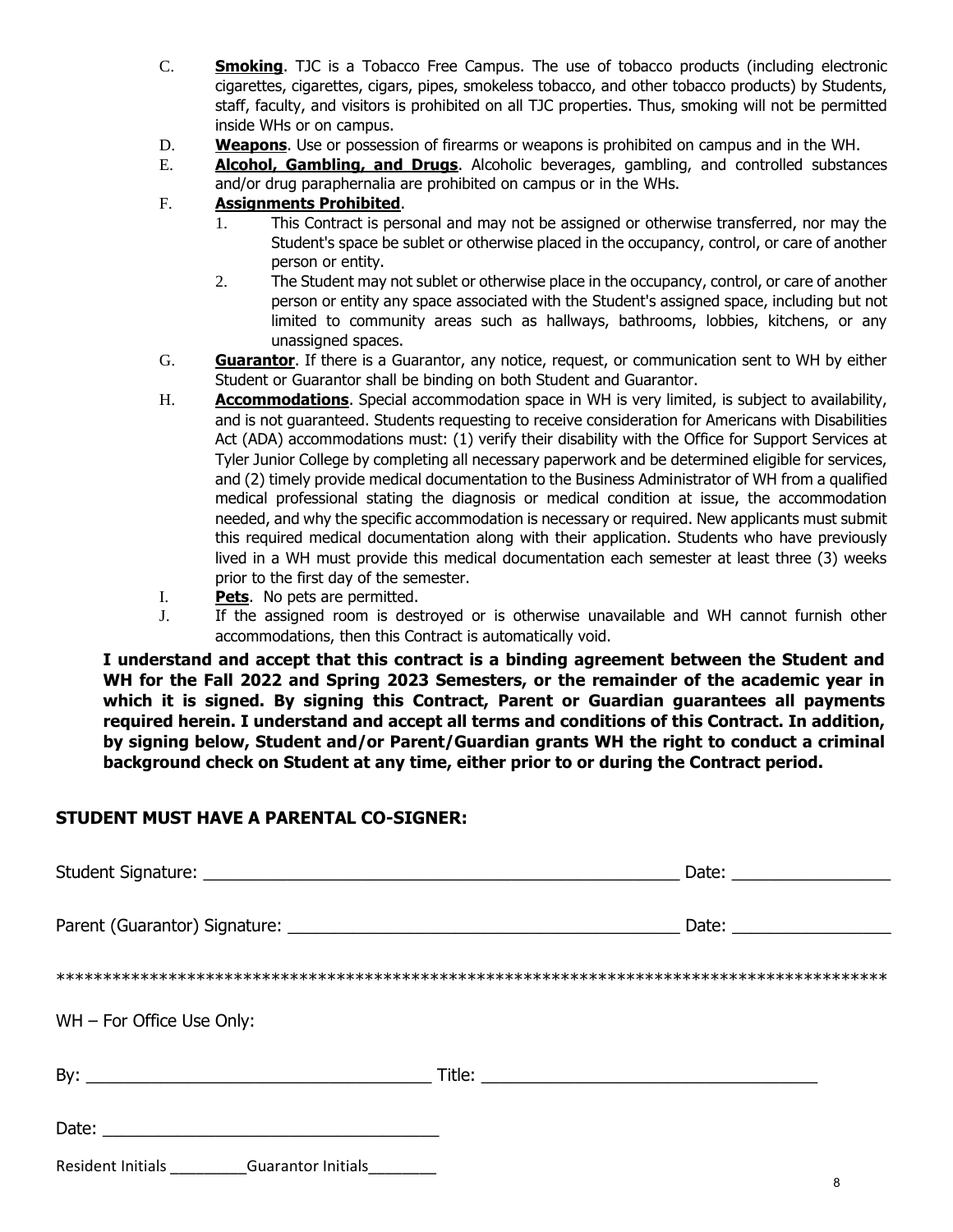- C. **Smoking**. TJC is a Tobacco Free Campus. The use of tobacco products (including electronic cigarettes, cigarettes, cigars, pipes, smokeless tobacco, and other tobacco products) by Students, staff, faculty, and visitors is prohibited on all TJC properties. Thus, smoking will not be permitted inside WHs or on campus.
- D. **Weapons**. Use or possession of firearms or weapons is prohibited on campus and in the WH.
- E. **Alcohol, Gambling, and Drugs**. Alcoholic beverages, gambling, and controlled substances and/or drug paraphernalia are prohibited on campus or in the WHs.
- F. **Assignments Prohibited**.
	- 1. This Contract is personal and may not be assigned or otherwise transferred, nor may the Student's space be sublet or otherwise placed in the occupancy, control, or care of another person or entity.
	- 2. The Student may not sublet or otherwise place in the occupancy, control, or care of another person or entity any space associated with the Student's assigned space, including but not limited to community areas such as hallways, bathrooms, lobbies, kitchens, or any unassigned spaces.
- G. **Guarantor**. If there is a Guarantor, any notice, request, or communication sent to WH by either Student or Guarantor shall be binding on both Student and Guarantor.
- H. **Accommodations**. Special accommodation space in WH is very limited, is subject to availability, and is not guaranteed. Students requesting to receive consideration for Americans with Disabilities Act (ADA) accommodations must: (1) verify their disability with the Office for Support Services at Tyler Junior College by completing all necessary paperwork and be determined eligible for services, and (2) timely provide medical documentation to the Business Administrator of WH from a qualified medical professional stating the diagnosis or medical condition at issue, the accommodation needed, and why the specific accommodation is necessary or required. New applicants must submit this required medical documentation along with their application. Students who have previously lived in a WH must provide this medical documentation each semester at least three (3) weeks prior to the first day of the semester.
- I. **Pets**. No pets are permitted.
- J. If the assigned room is destroyed or is otherwise unavailable and WH cannot furnish other accommodations, then this Contract is automatically void.

**I understand and accept that this contract is a binding agreement between the Student and WH for the Fall 2022 and Spring 2023 Semesters, or the remainder of the academic year in which it is signed. By signing this Contract, Parent or Guardian guarantees all payments required herein. I understand and accept all terms and conditions of this Contract. In addition, by signing below, Student and/or Parent/Guardian grants WH the right to conduct a criminal background check on Student at any time, either prior to or during the Contract period.** 

## **STUDENT MUST HAVE A PARENTAL CO-SIGNER:**

| $WH$ – For Office Use Only:                        |  |
|----------------------------------------------------|--|
|                                                    |  |
|                                                    |  |
| Resident Initials <b>Summer Guarantor Initials</b> |  |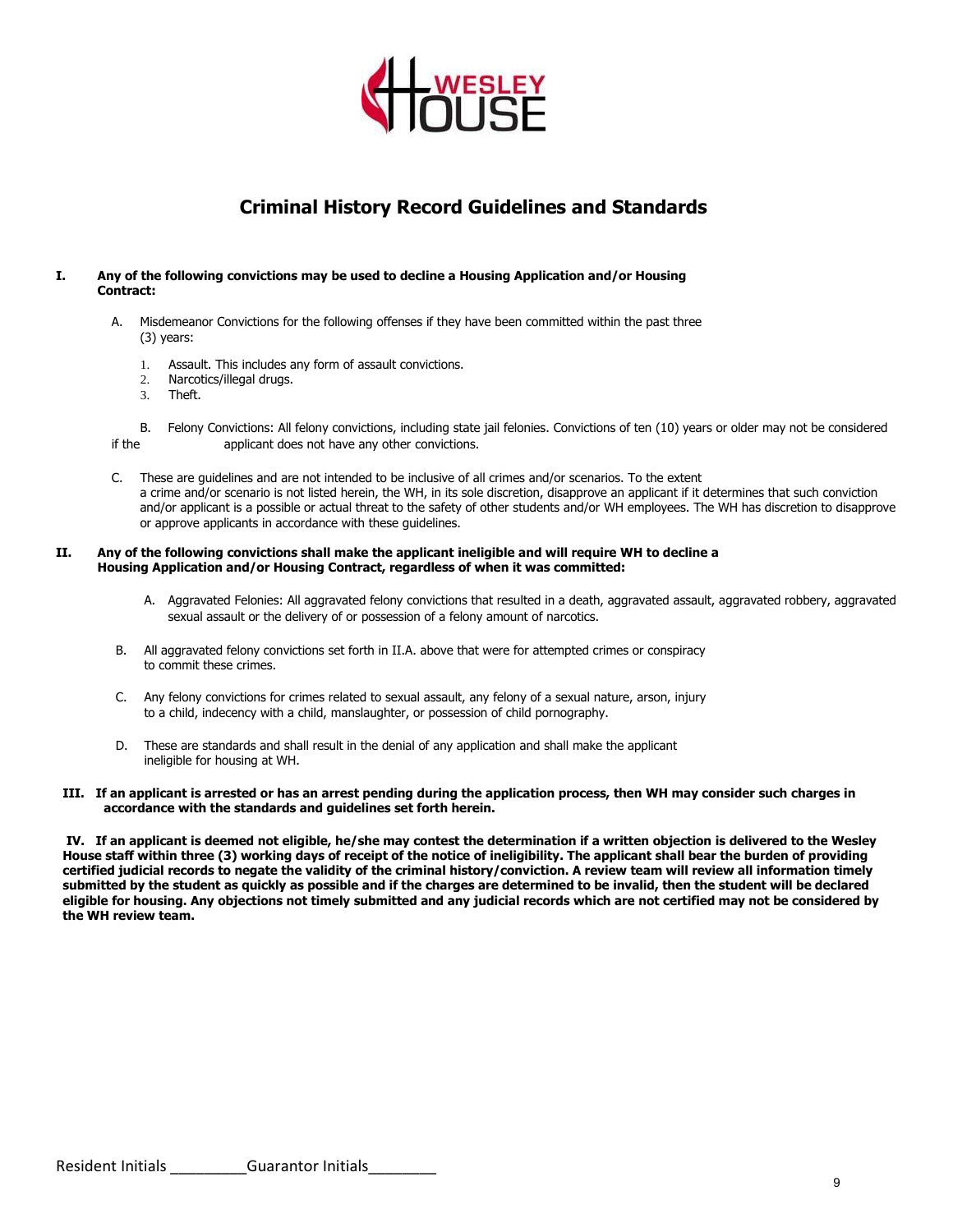

# **Criminal History Record Guidelines and Standards**

#### **I. Any of the following convictions may be used to decline a Housing Application and/or Housing Contract:**

- A. Misdemeanor Convictions for the following offenses if they have been committed within the past three (3) years:
	- 1. Assault. This includes any form of assault convictions.
	- 2. Narcotics/illegal drugs.
	- 3. Theft.

B. Felony Convictions: All felony convictions, including state jail felonies. Convictions of ten (10) years or older may not be considered if the applicant does not have any other convictions.

C. These are guidelines and are not intended to be inclusive of all crimes and/or scenarios. To the extent a crime and/or scenario is not listed herein, the WH, in its sole discretion, disapprove an applicant if it determines that such conviction and/or applicant is a possible or actual threat to the safety of other students and/or WH employees. The WH has discretion to disapprove or approve applicants in accordance with these guidelines.

#### **II. Any of the following convictions shall make the applicant ineligible and will require WH to decline a Housing Application and/or Housing Contract, regardless of when it was committed:**

- A. Aggravated Felonies: All aggravated felony convictions that resulted in a death, aggravated assault, aggravated robbery, aggravated sexual assault or the delivery of or possession of a felony amount of narcotics.
- B. All aggravated felony convictions set forth in II.A. above that were for attempted crimes or conspiracy to commit these crimes.
- C. Any felony convictions for crimes related to sexual assault, any felony of a sexual nature, arson, injury to a child, indecency with a child, manslaughter, or possession of child pornography.
- D. These are standards and shall result in the denial of any application and shall make the applicant ineligible for housing at WH.

#### **III. If an applicant is arrested or has an arrest pending during the application process, then WH may consider such charges in accordance with the standards and guidelines set forth herein.**

**IV. If an applicant is deemed not eligible, he/she may contest the determination if a written objection is delivered to the Wesley House staff within three (3) working days of receipt of the notice of ineligibility. The applicant shall bear the burden of providing certified judicial records to negate the validity of the criminal history/conviction. A review team will review all information timely submitted by the student as quickly as possible and if the charges are determined to be invalid, then the student will be declared eligible for housing. Any objections not timely submitted and any judicial records which are not certified may not be considered by the WH review team.**